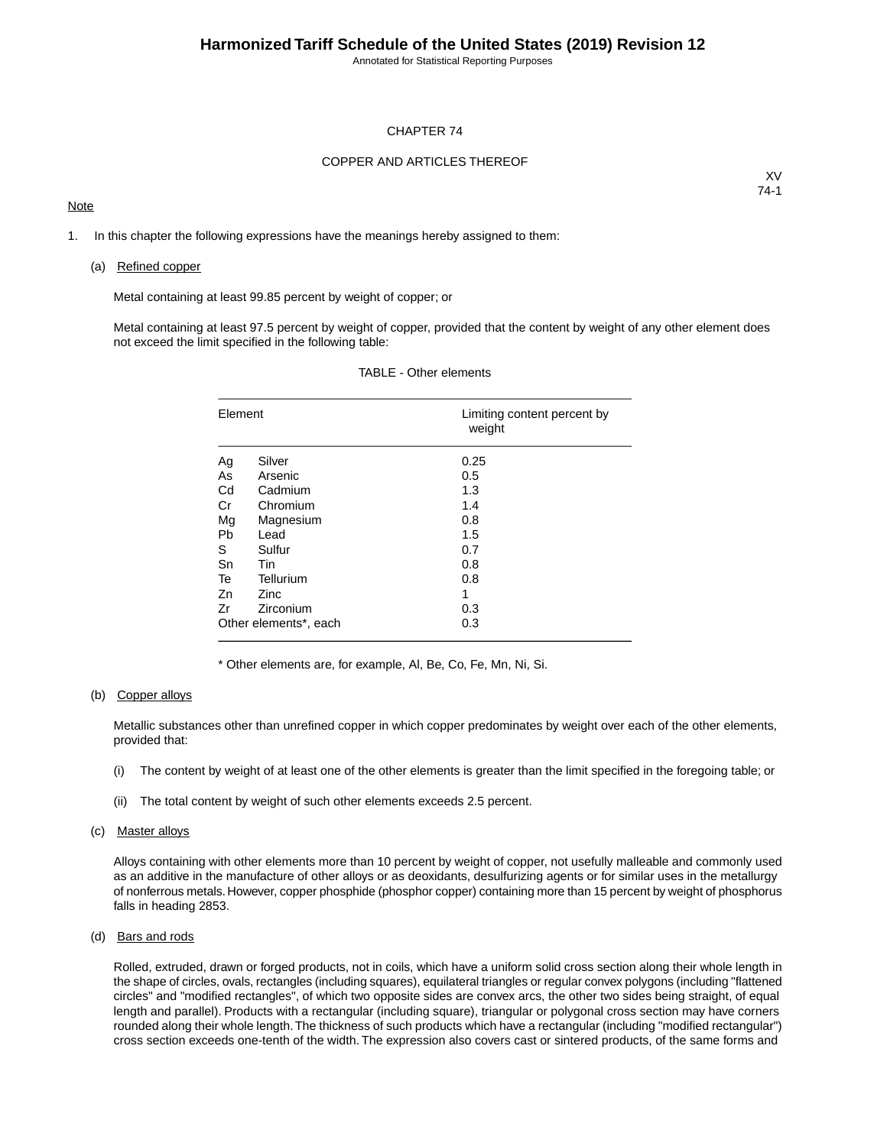#### CHAPTER 74

### COPPER AND ARTICLES THEREOF

### **Note**

XV 74-1

1. In this chapter the following expressions have the meanings hereby assigned to them:

#### (a) Refined copper

Metal containing at least 99.85 percent by weight of copper; or

Metal containing at least 97.5 percent by weight of copper, provided that the content by weight of any other element does not exceed the limit specified in the following table:

| Element   |                       | Limiting content percent by<br>weight |
|-----------|-----------------------|---------------------------------------|
| Ag        | Silver                | 0.25                                  |
| As        | Arsenic               | 0.5                                   |
| Cd        | Cadmium               | 1.3                                   |
| Cr        | Chromium              | 1.4                                   |
| Mg        | Magnesium             | 0.8                                   |
| <b>Pb</b> | Lead                  | 1.5                                   |
| S         | Sulfur                | 0.7                                   |
| Sn        | <b>Tin</b>            | 0.8                                   |
| Te        | Tellurium             | 0.8                                   |
| Zn        | <b>Zinc</b>           | 1                                     |
| Zr        | Zirconium             | 0.3                                   |
|           | Other elements*, each | 0.3                                   |

### TABLE - Other elements

\* Other elements are, for example, Al, Be, Co, Fe, Mn, Ni, Si.

### (b) Copper alloys

Metallic substances other than unrefined copper in which copper predominates by weight over each of the other elements, provided that:

- (i) The content by weight of at least one of the other elements is greater than the limit specified in the foregoing table; or
- (ii) The total content by weight of such other elements exceeds 2.5 percent.

### (c) Master alloys

Alloys containing with other elements more than 10 percent by weight of copper, not usefully malleable and commonly used as an additive in the manufacture of other alloys or as deoxidants, desulfurizing agents or for similar uses in the metallurgy of nonferrous metals. However, copper phosphide (phosphor copper) containing more than 15 percent by weight of phosphorus falls in heading 2853.

### (d) Bars and rods

Rolled, extruded, drawn or forged products, not in coils, which have a uniform solid cross section along their whole length in the shape of circles, ovals, rectangles (including squares), equilateral triangles or regular convex polygons (including "flattened circles" and "modified rectangles", of which two opposite sides are convex arcs, the other two sides being straight, of equal length and parallel). Products with a rectangular (including square), triangular or polygonal cross section may have corners rounded along their whole length.The thickness of such products which have a rectangular (including "modified rectangular") cross section exceeds one-tenth of the width. The expression also covers cast or sintered products, of the same forms and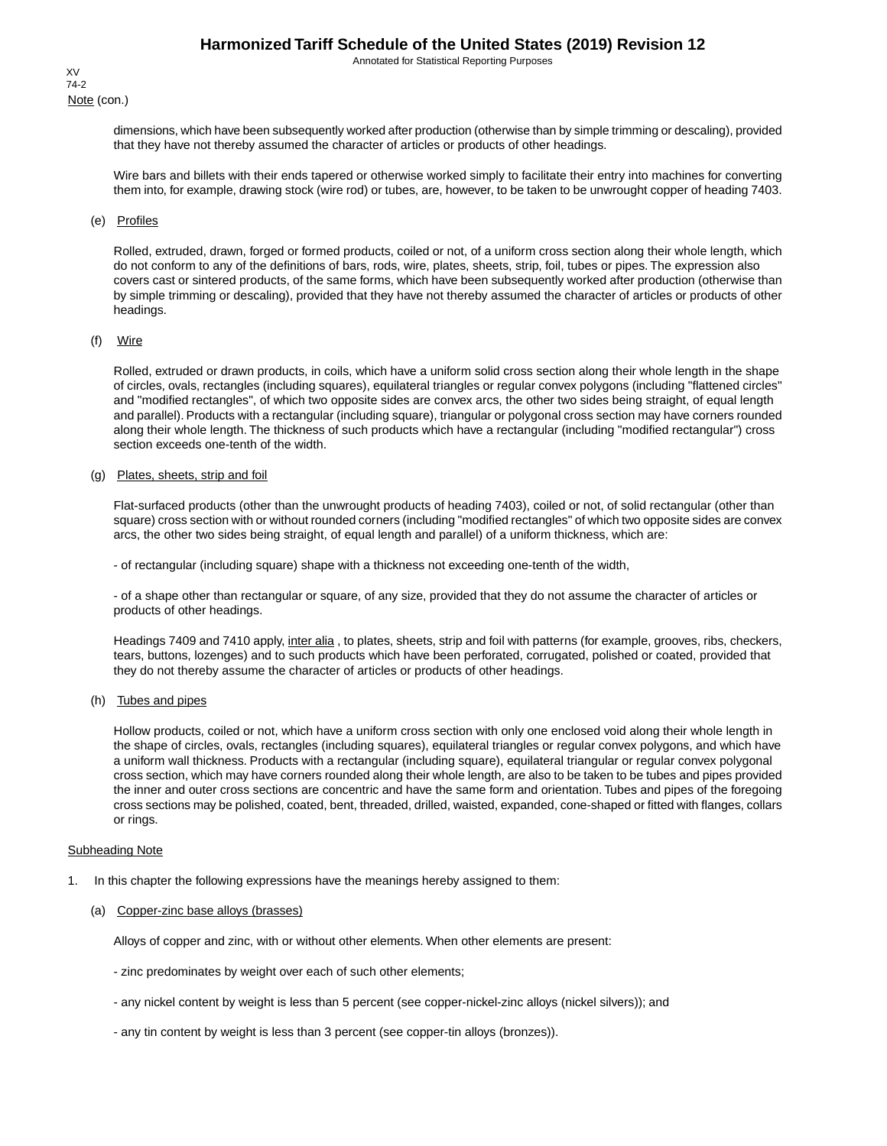Note (con.) XV 74-2

> dimensions, which have been subsequently worked after production (otherwise than by simple trimming or descaling), provided that they have not thereby assumed the character of articles or products of other headings.

> Wire bars and billets with their ends tapered or otherwise worked simply to facilitate their entry into machines for converting them into, for example, drawing stock (wire rod) or tubes, are, however, to be taken to be unwrought copper of heading 7403.

### (e) Profiles

Rolled, extruded, drawn, forged or formed products, coiled or not, of a uniform cross section along their whole length, which do not conform to any of the definitions of bars, rods, wire, plates, sheets, strip, foil, tubes or pipes. The expression also covers cast or sintered products, of the same forms, which have been subsequently worked after production (otherwise than by simple trimming or descaling), provided that they have not thereby assumed the character of articles or products of other headings.

### (f) Wire

Rolled, extruded or drawn products, in coils, which have a uniform solid cross section along their whole length in the shape of circles, ovals, rectangles (including squares), equilateral triangles or regular convex polygons (including "flattened circles" and "modified rectangles", of which two opposite sides are convex arcs, the other two sides being straight, of equal length and parallel). Products with a rectangular (including square), triangular or polygonal cross section may have corners rounded along their whole length. The thickness of such products which have a rectangular (including "modified rectangular") cross section exceeds one-tenth of the width.

### (g) Plates, sheets, strip and foil

Flat-surfaced products (other than the unwrought products of heading 7403), coiled or not, of solid rectangular (other than square) cross section with or without rounded corners (including "modified rectangles" of which two opposite sides are convex arcs, the other two sides being straight, of equal length and parallel) of a uniform thickness, which are:

- of rectangular (including square) shape with a thickness not exceeding one-tenth of the width,

- of a shape other than rectangular or square, of any size, provided that they do not assume the character of articles or products of other headings.

Headings 7409 and 7410 apply, inter alia, to plates, sheets, strip and foil with patterns (for example, grooves, ribs, checkers, tears, buttons, lozenges) and to such products which have been perforated, corrugated, polished or coated, provided that they do not thereby assume the character of articles or products of other headings.

### (h) Tubes and pipes

Hollow products, coiled or not, which have a uniform cross section with only one enclosed void along their whole length in the shape of circles, ovals, rectangles (including squares), equilateral triangles or regular convex polygons, and which have a uniform wall thickness. Products with a rectangular (including square), equilateral triangular or regular convex polygonal cross section, which may have corners rounded along their whole length, are also to be taken to be tubes and pipes provided the inner and outer cross sections are concentric and have the same form and orientation. Tubes and pipes of the foregoing cross sections may be polished, coated, bent, threaded, drilled, waisted, expanded, cone-shaped or fitted with flanges, collars or rings.

#### Subheading Note

- 1. In this chapter the following expressions have the meanings hereby assigned to them:
	- (a) Copper-zinc base alloys (brasses)

Alloys of copper and zinc, with or without other elements. When other elements are present:

- zinc predominates by weight over each of such other elements;
- any nickel content by weight is less than 5 percent (see copper-nickel-zinc alloys (nickel silvers)); and
- any tin content by weight is less than 3 percent (see copper-tin alloys (bronzes)).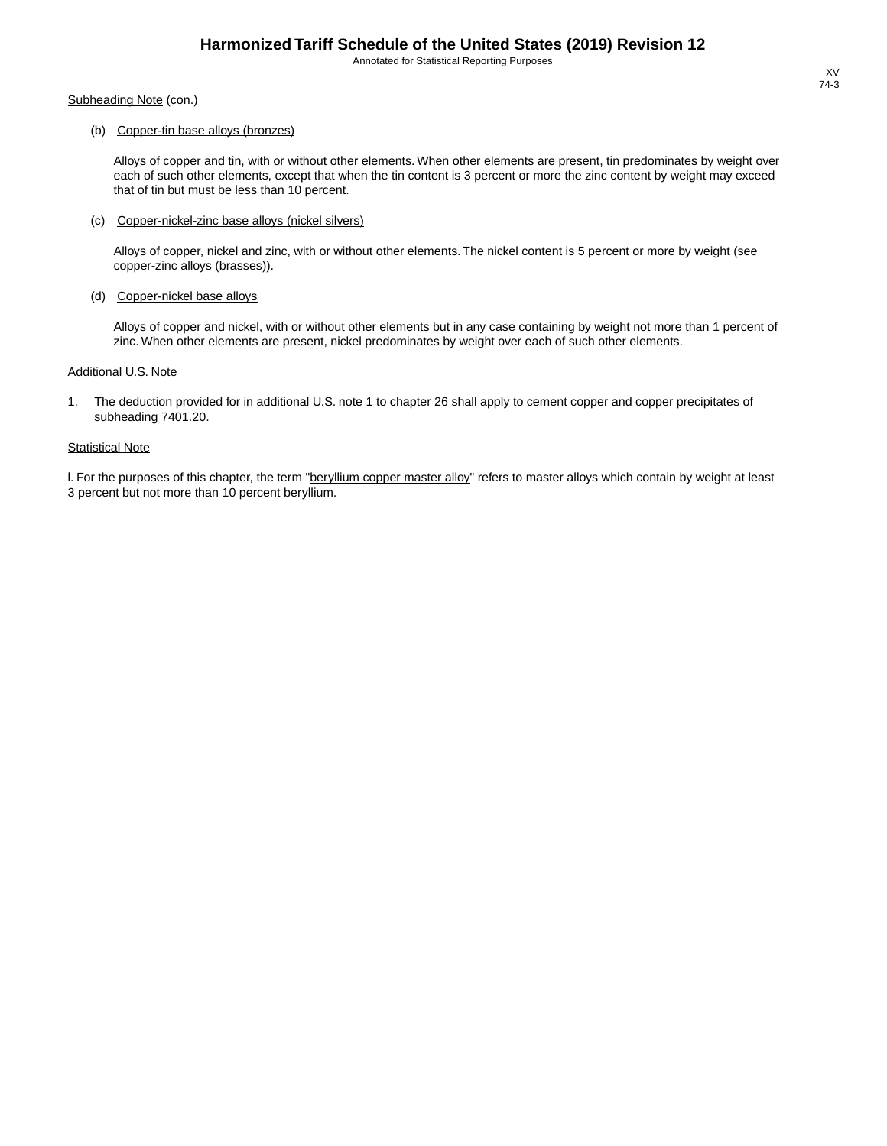Subheading Note (con.)

### (b) Copper-tin base alloys (bronzes)

Alloys of copper and tin, with or without other elements. When other elements are present, tin predominates by weight over each of such other elements, except that when the tin content is 3 percent or more the zinc content by weight may exceed that of tin but must be less than 10 percent.

### (c) Copper-nickel-zinc base alloys (nickel silvers)

Alloys of copper, nickel and zinc, with or without other elements. The nickel content is 5 percent or more by weight (see copper-zinc alloys (brasses)).

#### (d) Copper-nickel base alloys

Alloys of copper and nickel, with or without other elements but in any case containing by weight not more than 1 percent of zinc. When other elements are present, nickel predominates by weight over each of such other elements.

#### Additional U.S. Note

1. The deduction provided for in additional U.S. note 1 to chapter 26 shall apply to cement copper and copper precipitates of subheading 7401.20.

### **Statistical Note**

I. For the purposes of this chapter, the term "beryllium copper master alloy" refers to master alloys which contain by weight at least 3 percent but not more than 10 percent beryllium.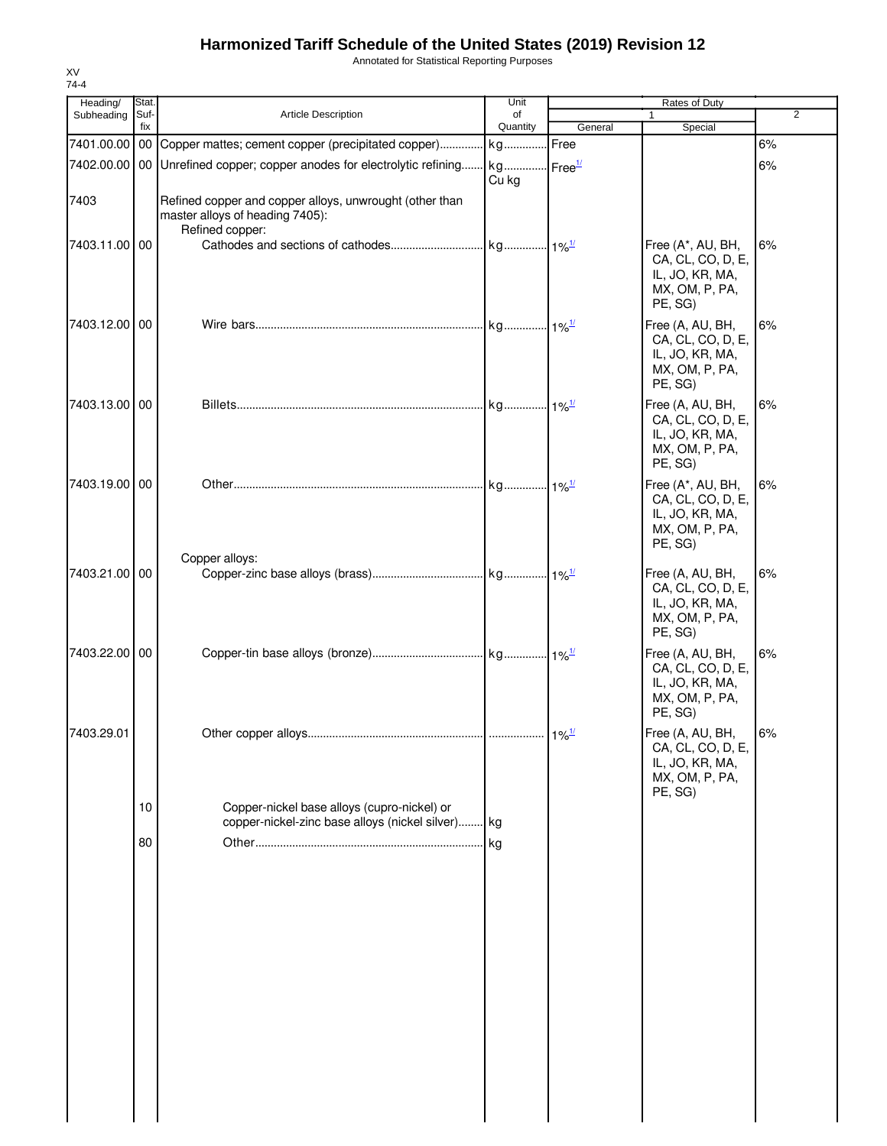Annotated for Statistical Reporting Purposes

| Heading/      | Stat.       |                                                                                                               | Unit           |         | Rates of Duty                                                                          |                |
|---------------|-------------|---------------------------------------------------------------------------------------------------------------|----------------|---------|----------------------------------------------------------------------------------------|----------------|
| Subheading    | Suf-<br>fix | Article Description                                                                                           | of<br>Quantity | General | 1<br>Special                                                                           | $\overline{2}$ |
| 7401.00.00 00 |             | Copper mattes; cement copper (precipitated copper) kg                                                         |                | Free    |                                                                                        | 6%             |
|               |             | 7402.00.00 00 Unrefined copper; copper anodes for electrolytic refining kg Free <sup>1/</sup>                 | Cu kg          |         |                                                                                        | 6%             |
| 7403          |             | Refined copper and copper alloys, unwrought (other than<br>master alloys of heading 7405):<br>Refined copper: |                |         |                                                                                        |                |
| 7403.11.00 00 |             |                                                                                                               |                |         | Free (A*, AU, BH,<br>CA, CL, CO, D, E,<br>IL, JO, KR, MA,<br>MX, OM, P, PA,<br>PE, SG) | 6%             |
| 7403.12.00 00 |             |                                                                                                               |                |         | Free (A, AU, BH,<br>CA, CL, CO, D, E,<br>IL, JO, KR, MA,<br>MX, OM, P, PA,<br>PE, SG)  | 6%             |
| 7403.13.00 00 |             |                                                                                                               |                |         | Free (A, AU, BH,<br>CA, CL, CO, D, E,<br>IL, JO, KR, MA,<br>MX, OM, P, PA,<br>PE, SG)  | 6%             |
| 7403.19.00 00 |             |                                                                                                               |                |         | Free (A*, AU, BH,<br>CA, CL, CO, D, E,<br>IL, JO, KR, MA,<br>MX, OM, P, PA,<br>PE, SG) | 6%             |
| 7403.21.00 00 |             | Copper alloys:                                                                                                |                |         | Free (A, AU, BH,<br>CA, CL, CO, D, E,<br>IL, JO, KR, MA,<br>MX, OM, P, PA,<br>PE, SG)  | 6%             |
| 7403.22.00 00 |             |                                                                                                               |                |         | Free (A, AU, BH,<br>CA, CL, CO, D, E,<br>IL, JO, KR, MA,<br>MX, OM, P, PA,<br>PE, SG)  | 6%             |
| 7403.29.01    |             |                                                                                                               |                |         | Free (A, AU, BH,<br>CA, CL, CO, D, E,<br>IL, JO, KR, MA,<br>MX, OM, P, PA,<br>PE, SG)  | 6%             |
|               | 10          | Copper-nickel base alloys (cupro-nickel) or<br>copper-nickel-zinc base alloys (nickel silver) kg              |                |         |                                                                                        |                |
|               | 80          |                                                                                                               |                |         |                                                                                        |                |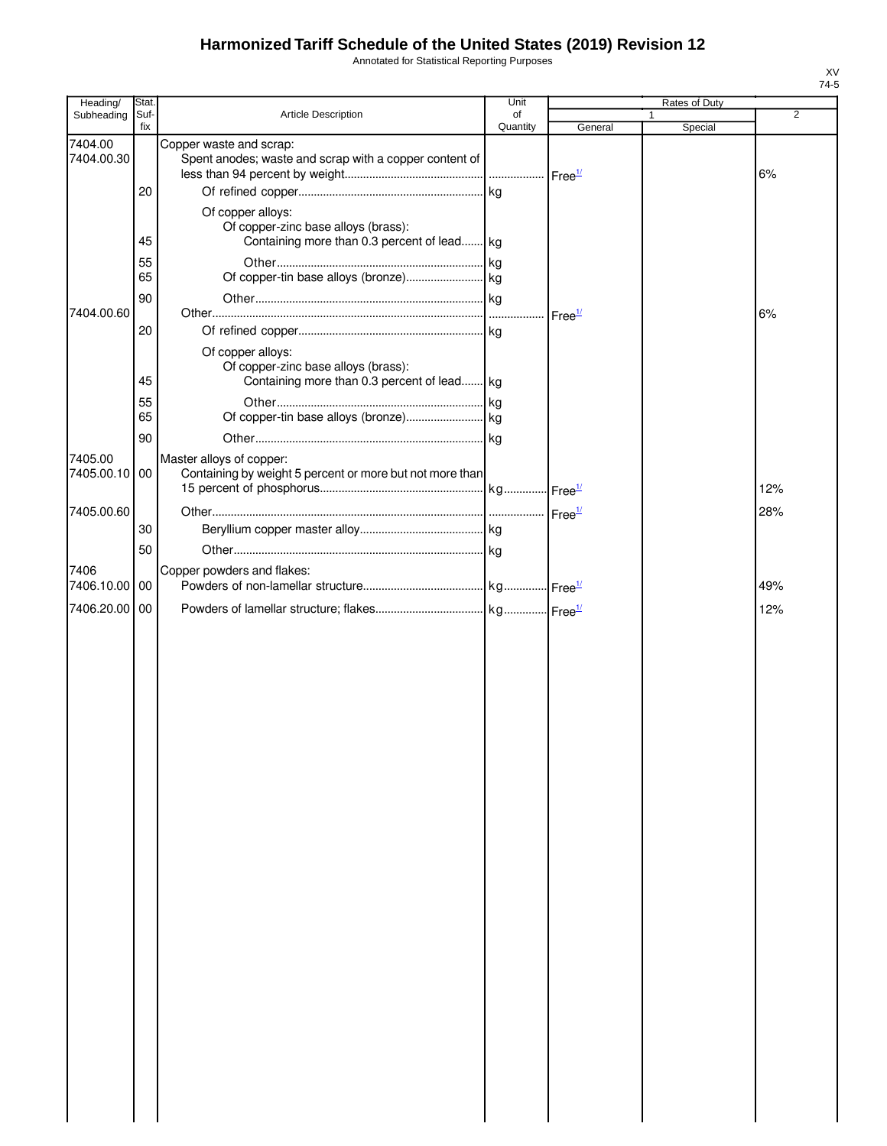Annotated for Statistical Reporting Purposes

| Heading/              | Stat        |                                                                                                         | Unit           |                    | Rates of Duty |                |
|-----------------------|-------------|---------------------------------------------------------------------------------------------------------|----------------|--------------------|---------------|----------------|
| Subheading            | Suf-<br>fix | Article Description                                                                                     | of<br>Quantity | General            | 1             | $\overline{2}$ |
| 7404.00<br>7404.00.30 |             | Copper waste and scrap:<br>Spent anodes; waste and scrap with a copper content of                       |                |                    | Special       |                |
|                       | 20          |                                                                                                         |                |                    |               | 6%             |
|                       | 45          | Of copper alloys:<br>Of copper-zinc base alloys (brass):<br>Containing more than 0.3 percent of lead kg |                |                    |               |                |
|                       | 55<br>65    |                                                                                                         |                |                    |               |                |
|                       | 90          |                                                                                                         |                |                    |               |                |
| 7404.00.60            | 20          | Of copper alloys:                                                                                       |                | Free <sup>1/</sup> |               | 6%             |
|                       | 45          | Of copper-zinc base alloys (brass):<br>Containing more than 0.3 percent of lead kg                      |                |                    |               |                |
|                       | 55<br>65    |                                                                                                         |                |                    |               |                |
| 7405.00               | 90          | Master alloys of copper:                                                                                |                |                    |               |                |
| 7405.00.10            | 00          | Containing by weight 5 percent or more but not more than                                                |                |                    |               | 12%            |
| 7405.00.60            | 30          |                                                                                                         |                |                    |               | 28%            |
| 7406                  | 50          | Copper powders and flakes:                                                                              |                |                    |               |                |
| 7406.10.00            | 00          |                                                                                                         |                |                    |               | 49%            |
| 7406.20.00            | 00          |                                                                                                         |                |                    |               | 12%            |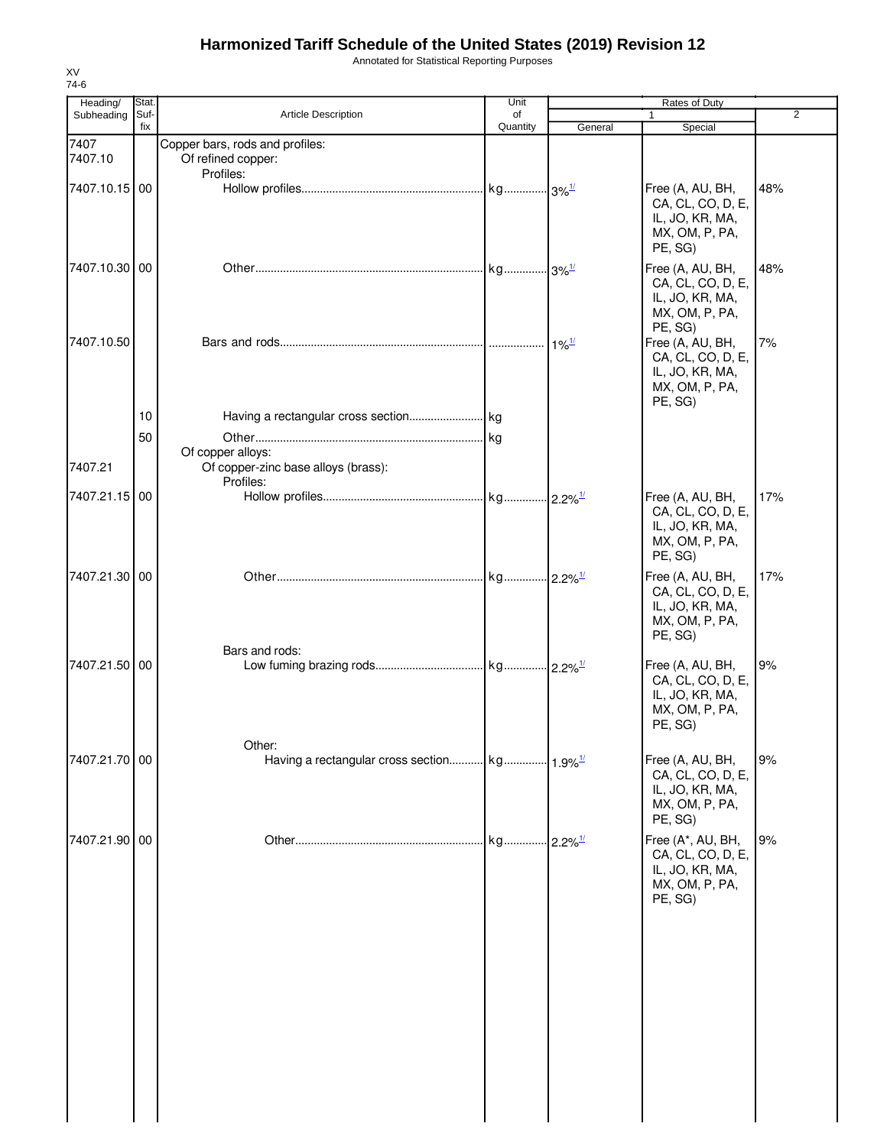Annotated for Statistical Reporting Purposes

| Heading/        | Stat.       |                                                                       | Unit           |                          | Rates of Duty                                                                          |     |
|-----------------|-------------|-----------------------------------------------------------------------|----------------|--------------------------|----------------------------------------------------------------------------------------|-----|
| Subheading      | Suf-<br>fix | <b>Article Description</b>                                            | of<br>Quantity | General                  | 1<br>Special                                                                           | 2   |
| 7407<br>7407.10 |             | Copper bars, rods and profiles:<br>Of refined copper:                 |                |                          |                                                                                        |     |
|                 |             | Profiles:                                                             |                |                          |                                                                                        |     |
| 7407.10.15 00   |             |                                                                       |                |                          | Free (A, AU, BH,<br>CA, CL, CO, D, E,<br>IL, JO, KR, MA,<br>MX, OM, P, PA,<br>PE, SG)  | 48% |
| 7407.10.30 00   |             |                                                                       |                |                          | Free (A, AU, BH,<br>CA, CL, CO, D, E,<br>IL, JO, KR, MA,<br>MX, OM, P, PA,<br>PE, SG)  | 48% |
| 7407.10.50      |             |                                                                       |                | $\cdot$ 1% $\frac{1}{2}$ | Free (A, AU, BH,<br>CA, CL, CO, D, E,<br>IL, JO, KR, MA,<br>MX, OM, P, PA,<br>PE, SG)  | 7%  |
|                 | 10          |                                                                       |                |                          |                                                                                        |     |
|                 | 50          |                                                                       |                |                          |                                                                                        |     |
| 7407.21         |             | Of copper alloys:<br>Of copper-zinc base alloys (brass):<br>Profiles: |                |                          |                                                                                        |     |
| 7407.21.15 00   |             |                                                                       |                |                          | Free (A, AU, BH,<br>CA, CL, CO, D, E,<br>IL, JO, KR, MA,<br>MX, OM, P, PA,<br>PE, SG)  | 17% |
| 7407.21.30 00   |             |                                                                       |                |                          | Free (A, AU, BH,<br>CA, CL, CO, D, E,<br>IL, JO, KR, MA,<br>MX, OM, P, PA,<br>PE, SG)  | 17% |
| 7407.21.50 00   |             | Bars and rods:                                                        |                |                          | Free (A, AU, BH,<br>CA, CL, CO, D, E,<br>IL, JO, KR, MA,<br>MX, OM, P, PA,<br>PE, SG)  | 9%  |
| 7407.21.70 00   |             | Other:                                                                |                |                          | Free (A, AU, BH,<br>CA, CL, CO, D, E,<br>IL, JO, KR, MA,<br>MX, OM, P, PA,<br>PE, SG)  | 9%  |
| 7407.21.90 00   |             |                                                                       |                |                          | Free (A*, AU, BH,<br>CA, CL, CO, D, E,<br>IL, JO, KR, MA,<br>MX, OM, P, PA,<br>PE, SG) | 9%  |
|                 |             |                                                                       |                |                          |                                                                                        |     |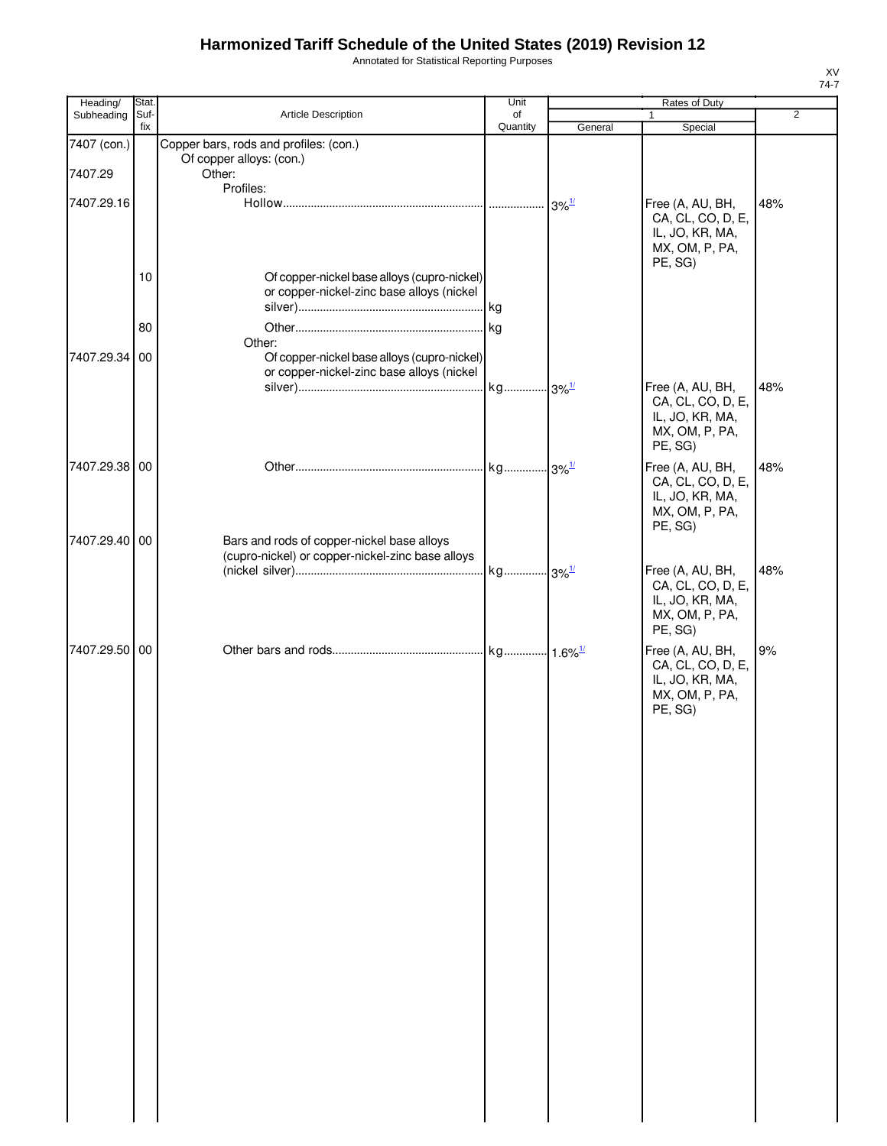Annotated for Statistical Reporting Purposes

| Heading/      | Stat.       |                                                                                                | Unit           |         | Rates of Duty                        |                |
|---------------|-------------|------------------------------------------------------------------------------------------------|----------------|---------|--------------------------------------|----------------|
| Subheading    | Suf-<br>fix | Article Description                                                                            | of<br>Quantity | General | $\mathbf{1}$<br>Special              | $\overline{2}$ |
| 7407 (con.)   |             | Copper bars, rods and profiles: (con.)                                                         |                |         |                                      |                |
| 7407.29       |             | Of copper alloys: (con.)<br>Other:                                                             |                |         |                                      |                |
|               |             | Profiles:                                                                                      |                |         |                                      |                |
| 7407.29.16    |             |                                                                                                |                |         | Free (A, AU, BH,                     | 48%            |
|               |             |                                                                                                |                |         | CA, CL, CO, D, E,<br>IL, JO, KR, MA, |                |
|               |             |                                                                                                |                |         | MX, OM, P, PA,                       |                |
|               |             |                                                                                                |                |         | PE, SG)                              |                |
|               | 10          | Of copper-nickel base alloys (cupro-nickel)<br>or copper-nickel-zinc base alloys (nickel       |                |         |                                      |                |
|               |             |                                                                                                |                |         |                                      |                |
|               | 80          |                                                                                                |                |         |                                      |                |
|               |             | Other:                                                                                         |                |         |                                      |                |
| 7407.29.34 00 |             | Of copper-nickel base alloys (cupro-nickel)<br>or copper-nickel-zinc base alloys (nickel       |                |         |                                      |                |
|               |             |                                                                                                |                |         | Free (A, AU, BH,                     | 48%            |
|               |             |                                                                                                |                |         | CA, CL, CO, D, E,                    |                |
|               |             |                                                                                                |                |         | IL, JO, KR, MA,<br>MX, OM, P, PA,    |                |
|               |             |                                                                                                |                |         | PE, SG)                              |                |
| 7407.29.38 00 |             |                                                                                                |                |         | Free (A, AU, BH,                     | 48%            |
|               |             |                                                                                                |                |         | CA, CL, CO, D, E,<br>IL, JO, KR, MA, |                |
|               |             |                                                                                                |                |         | MX, OM, P, PA,                       |                |
|               |             |                                                                                                |                |         | PE, SG)                              |                |
| 7407.29.40 00 |             | Bars and rods of copper-nickel base alloys<br>(cupro-nickel) or copper-nickel-zinc base alloys |                |         |                                      |                |
|               |             |                                                                                                |                |         | Free (A, AU, BH,                     | 48%            |
|               |             |                                                                                                |                |         | CA, CL, CO, D, E,                    |                |
|               |             |                                                                                                |                |         | IL, JO, KR, MA,<br>MX, OM, P, PA,    |                |
|               |             |                                                                                                |                |         | PE, SG)                              |                |
| 7407.29.50 00 |             |                                                                                                |                |         | Free (A, AU, BH,                     | 9%             |
|               |             |                                                                                                |                |         | CA, CL, CO, D, E,<br>IL, JO, KR, MA, |                |
|               |             |                                                                                                |                |         | MX, OM, P, PA,                       |                |
|               |             |                                                                                                |                |         | PE, SG)                              |                |
|               |             |                                                                                                |                |         |                                      |                |
|               |             |                                                                                                |                |         |                                      |                |
|               |             |                                                                                                |                |         |                                      |                |
|               |             |                                                                                                |                |         |                                      |                |
|               |             |                                                                                                |                |         |                                      |                |
|               |             |                                                                                                |                |         |                                      |                |
|               |             |                                                                                                |                |         |                                      |                |
|               |             |                                                                                                |                |         |                                      |                |
|               |             |                                                                                                |                |         |                                      |                |
|               |             |                                                                                                |                |         |                                      |                |
|               |             |                                                                                                |                |         |                                      |                |
|               |             |                                                                                                |                |         |                                      |                |
|               |             |                                                                                                |                |         |                                      |                |
|               |             |                                                                                                |                |         |                                      |                |
|               |             |                                                                                                |                |         |                                      |                |
|               |             |                                                                                                |                |         |                                      |                |
|               |             |                                                                                                |                |         |                                      |                |
|               |             |                                                                                                |                |         |                                      |                |
|               |             |                                                                                                |                |         |                                      |                |
|               |             |                                                                                                |                |         |                                      |                |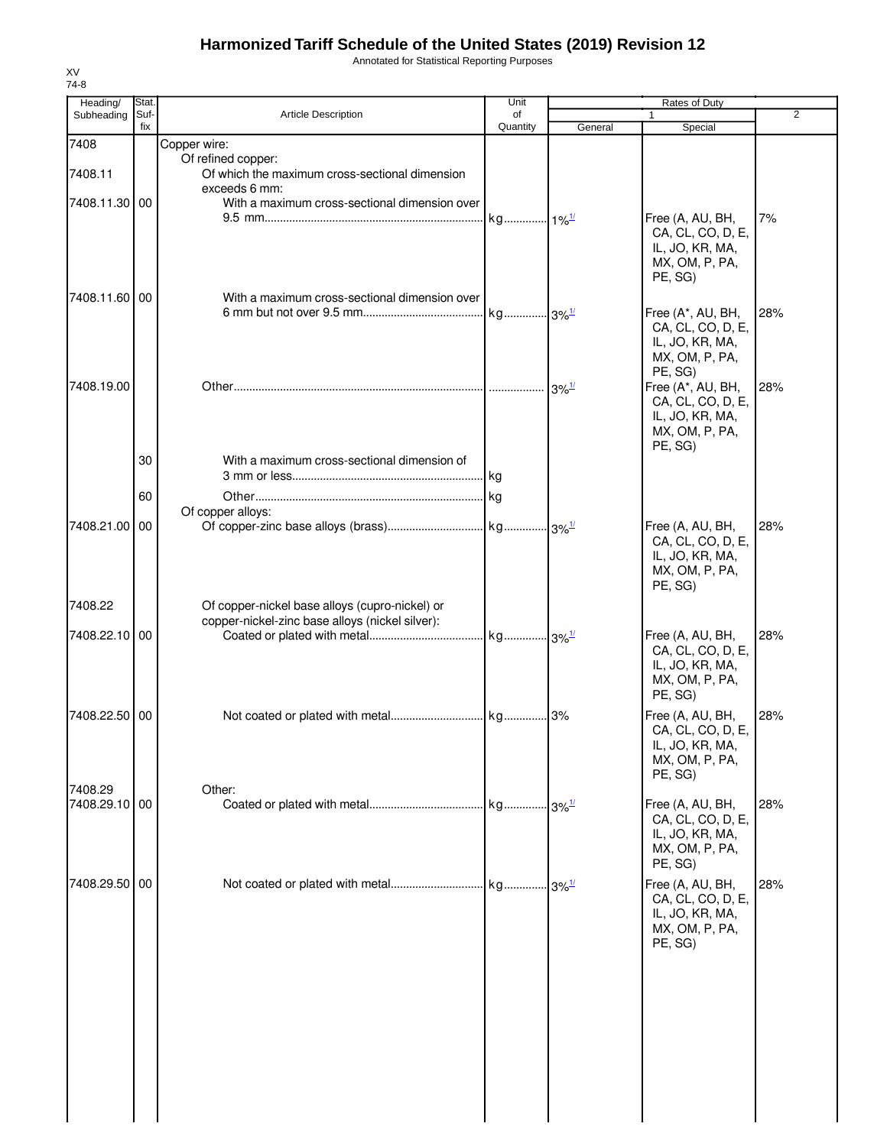Annotated for Statistical Reporting Purposes

| Heading/                 | Stat.       |                                                                                                   | Unit                          |                     | Rates of Duty                                                                          |                |
|--------------------------|-------------|---------------------------------------------------------------------------------------------------|-------------------------------|---------------------|----------------------------------------------------------------------------------------|----------------|
| Subheading               | Suf-<br>fix | <b>Article Description</b>                                                                        | of<br>Quantity                | General             | 1<br>Special                                                                           | $\overline{2}$ |
| 7408                     |             | Copper wire:                                                                                      |                               |                     |                                                                                        |                |
| 7408.11                  |             | Of refined copper:<br>Of which the maximum cross-sectional dimension<br>exceeds 6 mm:             |                               |                     |                                                                                        |                |
| 7408.11.30 00            |             | With a maximum cross-sectional dimension over                                                     | kg <sub>1%<sup>1/</sup></sub> |                     | Free (A, AU, BH,<br>CA, CL, CO, D, E,<br>IL, JO, KR, MA,<br>MX, OM, P, PA,<br>PE, SG)  | 7%             |
| 7408.11.60 00            |             | With a maximum cross-sectional dimension over                                                     |                               |                     | Free (A*, AU, BH,<br>CA, CL, CO, D, E,<br>IL, JO, KR, MA,<br>MX, OM, P, PA,<br>PE, SG) | 28%            |
| 7408.19.00               |             |                                                                                                   |                               | $3\%$ <sup>1/</sup> | Free (A*, AU, BH,<br>CA, CL, CO, D, E,<br>IL, JO, KR, MA,<br>MX, OM, P, PA,<br>PE, SG) | 28%            |
|                          | 30          | With a maximum cross-sectional dimension of                                                       |                               |                     |                                                                                        |                |
|                          | 60          | Of copper alloys:                                                                                 |                               |                     |                                                                                        |                |
| 7408.21.00 00            |             |                                                                                                   |                               |                     | Free (A, AU, BH,<br>CA, CL, CO, D, E,<br>IL, JO, KR, MA,<br>MX, OM, P, PA,<br>PE, SG)  | 28%            |
| 7408.22                  |             | Of copper-nickel base alloys (cupro-nickel) or<br>copper-nickel-zinc base alloys (nickel silver): |                               |                     |                                                                                        |                |
| 7408.22.10 00            |             |                                                                                                   |                               |                     | Free (A, AU, BH,<br>CA, CL, CO, D, E,<br>IL, JO, KR, MA,<br>MX, OM, P, PA,<br>PE, SG)  | 28%            |
| 7408.22.50 00            |             |                                                                                                   |                               |                     | Free (A, AU, BH,<br>CA, CL, CO, D, E,<br>IL, JO, KR, MA,<br>MX, OM, P, PA,<br>PE, SG)  | 28%            |
| 7408.29<br>7408.29.10 00 |             | Other:                                                                                            |                               |                     | Free (A, AU, BH,<br>CA, CL, CO, D, E,<br>IL, JO, KR, MA,<br>MX, OM, P, PA,<br>PE, SG)  | 28%            |
| 7408.29.50 00            |             |                                                                                                   |                               |                     | Free (A, AU, BH,<br>CA, CL, CO, D, E,<br>IL, JO, KR, MA,<br>MX, OM, P, PA,<br>PE, SG)  | 28%            |
|                          |             |                                                                                                   |                               |                     |                                                                                        |                |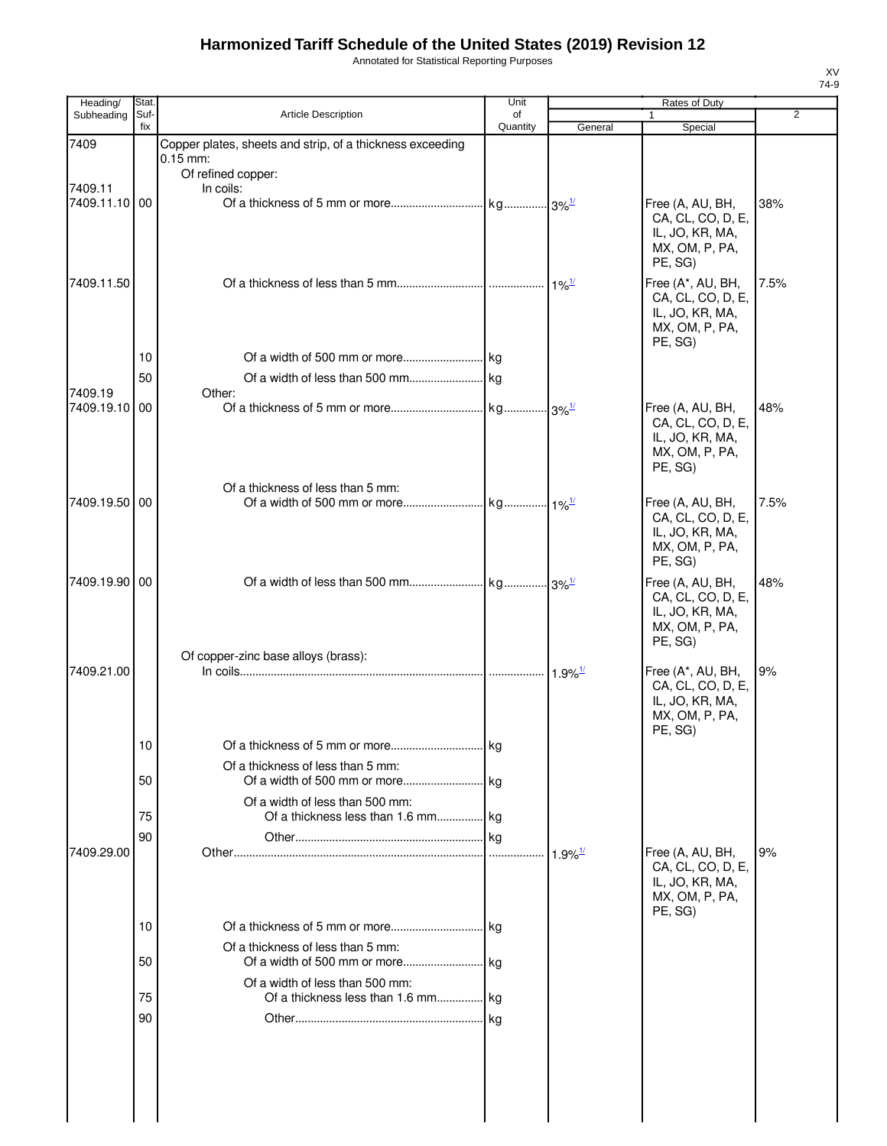Annotated for Statistical Reporting Purposes

| Heading/                 | Stat.       |                                                                                               | Unit           |                       | Rates of Duty                                                                          |      |
|--------------------------|-------------|-----------------------------------------------------------------------------------------------|----------------|-----------------------|----------------------------------------------------------------------------------------|------|
| Subheading               | Suf-<br>fix | <b>Article Description</b>                                                                    | of<br>Quantity | General               | $\mathbf{1}$<br>Special                                                                | 2    |
| 7409                     |             | Copper plates, sheets and strip, of a thickness exceeding<br>$0.15$ mm:<br>Of refined copper: |                |                       |                                                                                        |      |
| 7409.11<br>7409.11.10 00 |             | In coils:                                                                                     |                |                       | Free (A, AU, BH,<br>CA, CL, CO, D, E,                                                  | 38%  |
|                          |             |                                                                                               |                |                       | IL, JO, KR, MA,<br>MX, OM, P, PA,<br>PE, SG)                                           |      |
| 7409.11.50               |             |                                                                                               |                | $1\%$ <sup>1/</sup>   | Free (A*, AU, BH,<br>CA, CL, CO, D, E,<br>IL, JO, KR, MA,<br>MX, OM, P, PA,<br>PE, SG) | 7.5% |
|                          | 10          |                                                                                               |                |                       |                                                                                        |      |
| 7409.19                  | 50          | Other:                                                                                        |                |                       |                                                                                        |      |
| 7409.19.10               | 00          |                                                                                               |                |                       | Free (A, AU, BH,<br>CA, CL, CO, D, E,<br>IL, JO, KR, MA,<br>MX, OM, P, PA,<br>PE, SG)  | 48%  |
|                          |             | Of a thickness of less than 5 mm:                                                             |                |                       |                                                                                        |      |
| 7409.19.50 00            |             |                                                                                               |                |                       | Free (A, AU, BH,<br>CA, CL, CO, D, E,<br>IL, JO, KR, MA,<br>MX, OM, P, PA,<br>PE, SG)  | 7.5% |
| 7409.19.90 00            |             |                                                                                               |                |                       | Free (A, AU, BH,<br>CA, CL, CO, D, E,<br>IL, JO, KR, MA,<br>MX, OM, P, PA,<br>PE, SG)  | 48%  |
| 7409.21.00               |             | Of copper-zinc base alloys (brass):                                                           |                |                       | Free (A*, AU, BH,                                                                      | 9%   |
|                          |             |                                                                                               |                | $1.9\%$ <sup>1/</sup> | CA, CL, CO, D, E,<br>IL, JO, KR, MA,<br>MX, OM, P, PA,<br>PE, SG)                      |      |
|                          | 10          |                                                                                               |                |                       |                                                                                        |      |
|                          | 50          | Of a thickness of less than 5 mm:<br>Of a width of less than 500 mm:                          |                |                       |                                                                                        |      |
|                          | 75          | Of a thickness less than 1.6 mm kg                                                            |                |                       |                                                                                        |      |
|                          | 90          |                                                                                               |                |                       |                                                                                        |      |
| 7409.29.00               |             |                                                                                               |                | $1.9\%$ <sup>1/</sup> | Free (A, AU, BH,<br>CA, CL, CO, D, E,<br>IL, JO, KR, MA,<br>MX, OM, P, PA,<br>PE, SG)  | 9%   |
|                          | 10          |                                                                                               |                |                       |                                                                                        |      |
|                          |             | Of a thickness of less than 5 mm:                                                             |                |                       |                                                                                        |      |
|                          | 50          |                                                                                               |                |                       |                                                                                        |      |
|                          |             | Of a width of less than 500 mm:                                                               |                |                       |                                                                                        |      |
|                          | 75          | Of a thickness less than 1.6 mm kg                                                            |                |                       |                                                                                        |      |
|                          | 90          |                                                                                               |                |                       |                                                                                        |      |
|                          |             |                                                                                               |                |                       |                                                                                        |      |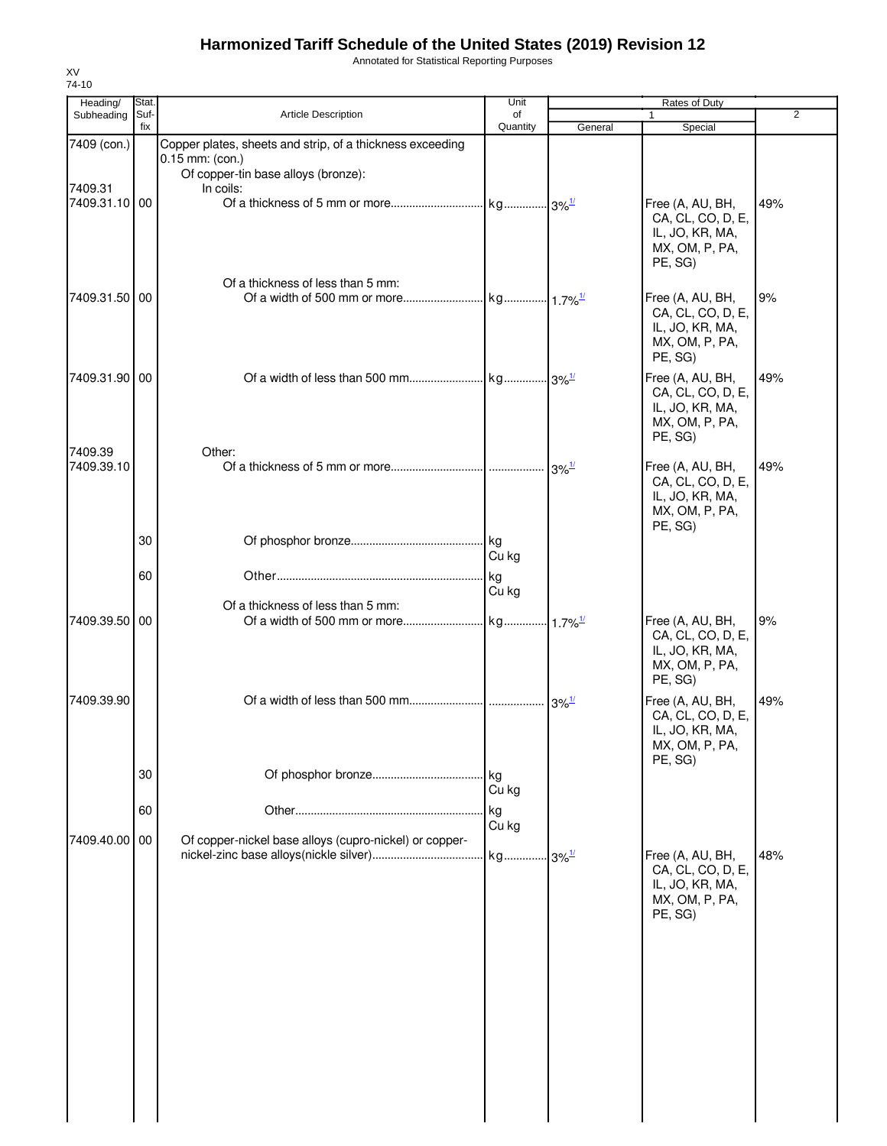Annotated for Statistical Reporting Purposes

| Heading/              | Stat.       |                                                                                | Unit                |                                           | Rates of Duty                                                                         |     |
|-----------------------|-------------|--------------------------------------------------------------------------------|---------------------|-------------------------------------------|---------------------------------------------------------------------------------------|-----|
| Subheading            | Suf-<br>fix | <b>Article Description</b>                                                     | of<br>Quantity      | General                                   | 1<br>Special                                                                          | 2   |
| 7409 (con.)           |             | Copper plates, sheets and strip, of a thickness exceeding<br>$0.15$ mm: (con.) |                     |                                           |                                                                                       |     |
| 7409.31               |             | Of copper-tin base alloys (bronze):<br>In coils:                               |                     |                                           |                                                                                       |     |
| 7409.31.10 00         |             |                                                                                |                     |                                           | Free (A, AU, BH,<br>CA, CL, CO, D, E,<br>IL, JO, KR, MA,<br>MX, OM, P, PA,<br>PE, SG) | 49% |
| 7409.31.50 00         |             | Of a thickness of less than 5 mm:                                              |                     |                                           | Free (A, AU, BH,<br>CA, CL, CO, D, E,<br>IL, JO, KR, MA,<br>MX, OM, P, PA,<br>PE, SG) | 9%  |
| 7409.31.90 00         |             |                                                                                |                     |                                           | Free (A, AU, BH,<br>CA, CL, CO, D, E,<br>IL, JO, KR, MA,<br>MX, OM, P, PA,<br>PE, SG) | 49% |
| 7409.39<br>7409.39.10 |             | Other:                                                                         |                     | $3\%$ <sup><math>\frac{1}{2}</math></sup> | Free (A, AU, BH,<br>CA, CL, CO, D, E,<br>IL, JO, KR, MA,<br>MX, OM, P, PA,<br>PE, SG) | 49% |
|                       | 30          |                                                                                | Cu kg               |                                           |                                                                                       |     |
|                       | 60          |                                                                                | <b>kg</b><br>Cu kg  |                                           |                                                                                       |     |
| 7409.39.50 00         |             | Of a thickness of less than 5 mm:                                              |                     |                                           | Free (A, AU, BH,<br>CA, CL, CO, D, E,<br>IL, JO, KR, MA,<br>MX, OM, P, PA,<br>PE, SG) | 9%  |
| 7409.39.90            |             |                                                                                |                     | $3\%$ <sup>1/</sup>                       | Free (A, AU, BH,<br>CA, CL, CO, D, E,<br>IL, JO, KR, MA,<br>MX, OM, P, PA,<br>PE, SG) | 49% |
|                       | 30          |                                                                                | . kg<br>Cu kg       |                                           |                                                                                       |     |
| 7409.40.00 00         | 60          | Of copper-nickel base alloys (cupro-nickel) or copper-                         | kg<br>Cu kg         |                                           |                                                                                       |     |
|                       |             |                                                                                | kg 3% <sup>1/</sup> |                                           | Free (A, AU, BH,<br>CA, CL, CO, D, E,<br>IL, JO, KR, MA,<br>MX, OM, P, PA,<br>PE, SG) | 48% |
|                       |             |                                                                                |                     |                                           |                                                                                       |     |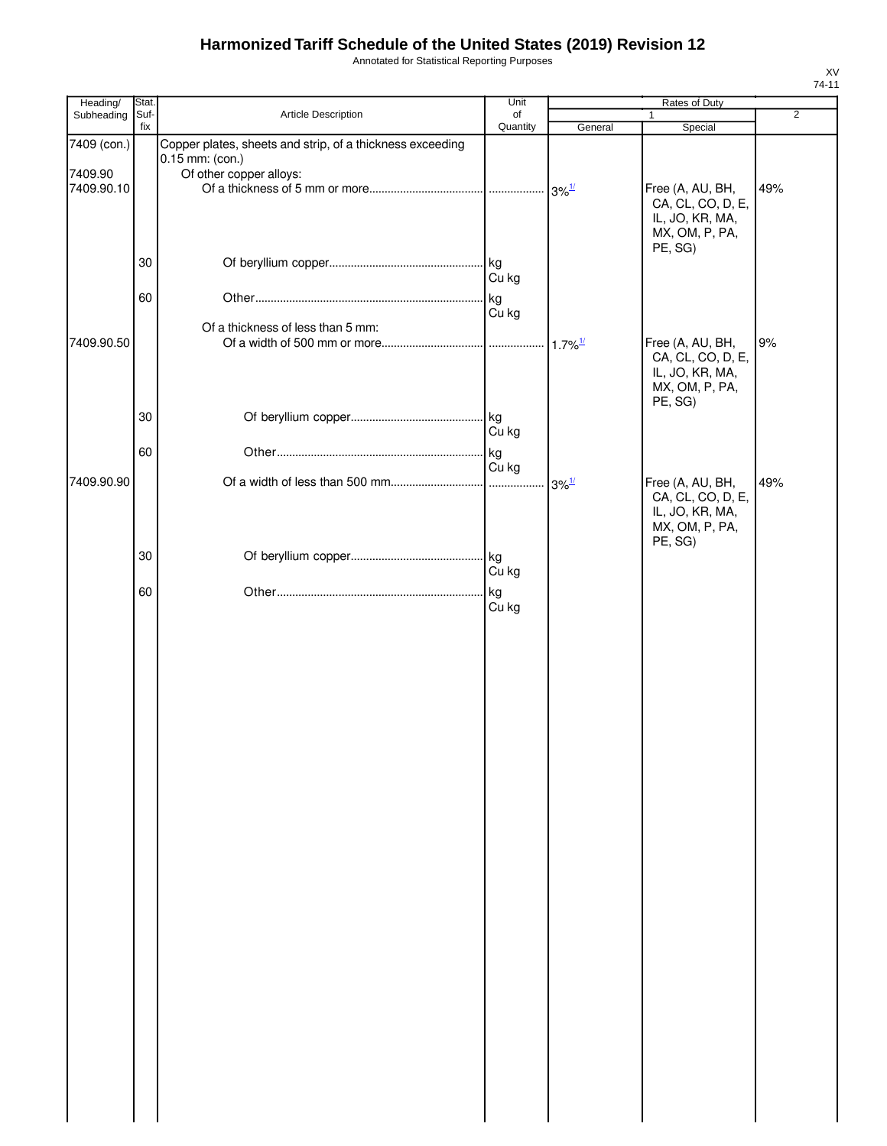Annotated for Statistical Reporting Purposes

| Heading/              | Stat.       |                                                                              | Unit           |                                  | Rates of Duty                                                                         |                |
|-----------------------|-------------|------------------------------------------------------------------------------|----------------|----------------------------------|---------------------------------------------------------------------------------------|----------------|
| Subheading            | Suf-<br>fix | Article Description                                                          | of<br>Quantity | General                          | Special                                                                               | $\overline{2}$ |
| 7409 (con.)           |             | Copper plates, sheets and strip, of a thickness exceeding<br>0.15 mm: (con.) |                |                                  |                                                                                       |                |
| 7409.90<br>7409.90.10 |             | Of other copper alloys:                                                      |                | $3\%$ <sup>1/</sup>              | Free (A, AU, BH,<br>CA, CL, CO, D, E,<br>IL, JO, KR, MA,<br>MX, OM, P, PA,<br>PE, SG) | 49%            |
|                       | 30          |                                                                              | Cu kg          |                                  |                                                                                       |                |
|                       | 60          | Of a thickness of less than 5 mm:                                            | kg<br>Cu kg    |                                  |                                                                                       |                |
| 7409.90.50            |             |                                                                              |                | $1.7\%$ <sup>1/</sup>            | Free (A, AU, BH,<br>CA, CL, CO, D, E,<br>IL, JO, KR, MA,<br>MX, OM, P, PA,<br>PE, SG) | 9%             |
|                       | 30          |                                                                              | Cu kg          |                                  |                                                                                       |                |
| 7409.90.90            | 60          |                                                                              | kg<br>Cu kg    |                                  | Free (A, AU, BH,                                                                      | 49%            |
|                       |             |                                                                              |                | $3\%$ <sup><math>1/</math></sup> | CA, CL, CO, D, E,<br>IL, JO, KR, MA,<br>MX, OM, P, PA,<br>PE, SG)                     |                |
|                       | 30          |                                                                              | Cu kg          |                                  |                                                                                       |                |
|                       | 60          |                                                                              | kg<br>Cu kg    |                                  |                                                                                       |                |
|                       |             |                                                                              |                |                                  |                                                                                       |                |
|                       |             |                                                                              |                |                                  |                                                                                       |                |
|                       |             |                                                                              |                |                                  |                                                                                       |                |
|                       |             |                                                                              |                |                                  |                                                                                       |                |
|                       |             |                                                                              |                |                                  |                                                                                       |                |
|                       |             |                                                                              |                |                                  |                                                                                       |                |
|                       |             |                                                                              |                |                                  |                                                                                       |                |
|                       |             |                                                                              |                |                                  |                                                                                       |                |
|                       |             |                                                                              |                |                                  |                                                                                       |                |
|                       |             |                                                                              |                |                                  |                                                                                       |                |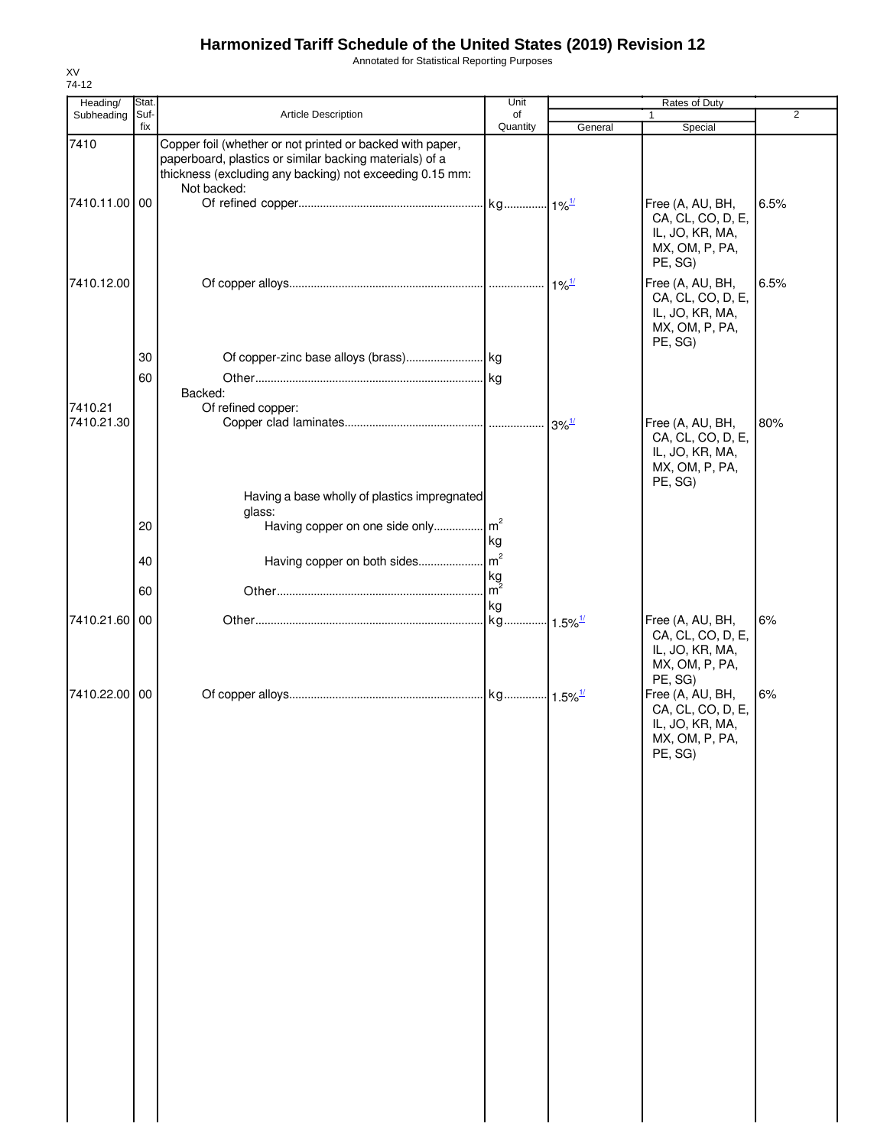Annotated for Statistical Reporting Purposes

| Heading/      | <b>Stat</b> |                                                                                                                                                                                                 | Unit           |                                           | Rates of Duty                                                                         |                |
|---------------|-------------|-------------------------------------------------------------------------------------------------------------------------------------------------------------------------------------------------|----------------|-------------------------------------------|---------------------------------------------------------------------------------------|----------------|
| Subheading    | Suf-<br>fix | Article Description                                                                                                                                                                             | of<br>Quantity | General                                   | Special                                                                               | $\overline{2}$ |
| 7410          |             | Copper foil (whether or not printed or backed with paper,<br>paperboard, plastics or similar backing materials) of a<br>thickness (excluding any backing) not exceeding 0.15 mm:<br>Not backed: |                |                                           |                                                                                       |                |
| 7410.11.00 00 |             |                                                                                                                                                                                                 |                |                                           | Free (A, AU, BH,<br>CA, CL, CO, D, E,<br>IL, JO, KR, MA,<br>MX, OM, P, PA,<br>PE, SG) | 6.5%           |
| 7410.12.00    |             |                                                                                                                                                                                                 |                |                                           | Free (A, AU, BH,<br>CA, CL, CO, D, E,<br>IL, JO, KR, MA,<br>MX, OM, P, PA,<br>PE, SG) | 6.5%           |
|               | 30          |                                                                                                                                                                                                 |                |                                           |                                                                                       |                |
|               | 60          |                                                                                                                                                                                                 |                |                                           |                                                                                       |                |
|               |             | Backed:                                                                                                                                                                                         |                |                                           |                                                                                       |                |
| 7410.21       |             | Of refined copper:                                                                                                                                                                              |                |                                           |                                                                                       |                |
| 7410.21.30    |             |                                                                                                                                                                                                 |                | $3\%$ <sup><math>\frac{1}{2}</math></sup> | Free (A, AU, BH,<br>CA, CL, CO, D, E,<br>IL, JO, KR, MA,<br>MX, OM, P, PA,<br>PE, SG) | 80%            |
|               |             | Having a base wholly of plastics impregnated                                                                                                                                                    |                |                                           |                                                                                       |                |
|               | 20          | glass:<br>Having copper on one side only m <sup>2</sup>                                                                                                                                         |                |                                           |                                                                                       |                |
|               |             |                                                                                                                                                                                                 | kg             |                                           |                                                                                       |                |
|               | 40          | Having copper on both sides                                                                                                                                                                     | m <sup>2</sup> |                                           |                                                                                       |                |
|               |             |                                                                                                                                                                                                 | kg             |                                           |                                                                                       |                |
|               | 60          |                                                                                                                                                                                                 | $m^2$          |                                           |                                                                                       |                |
| 7410.21.60 00 |             |                                                                                                                                                                                                 | kg<br>kg       | $\cdot$ 1.5% $\frac{1}{2}$                | Free (A, AU, BH,                                                                      | 6%             |
|               |             |                                                                                                                                                                                                 |                |                                           | CA, CL, CO, D, E,<br>IL, JO, KR, MA,<br>MX, OM, P, PA,<br>PE, SG)                     |                |
| 7410.22.00 00 |             |                                                                                                                                                                                                 |                |                                           | Free (A, AU, BH,<br>CA, CL, CO, D, E,<br>IL, JO, KR, MA,<br>MX, OM, P, PA,<br>PE, SG) | 6%             |
|               |             |                                                                                                                                                                                                 |                |                                           |                                                                                       |                |
|               |             |                                                                                                                                                                                                 |                |                                           |                                                                                       |                |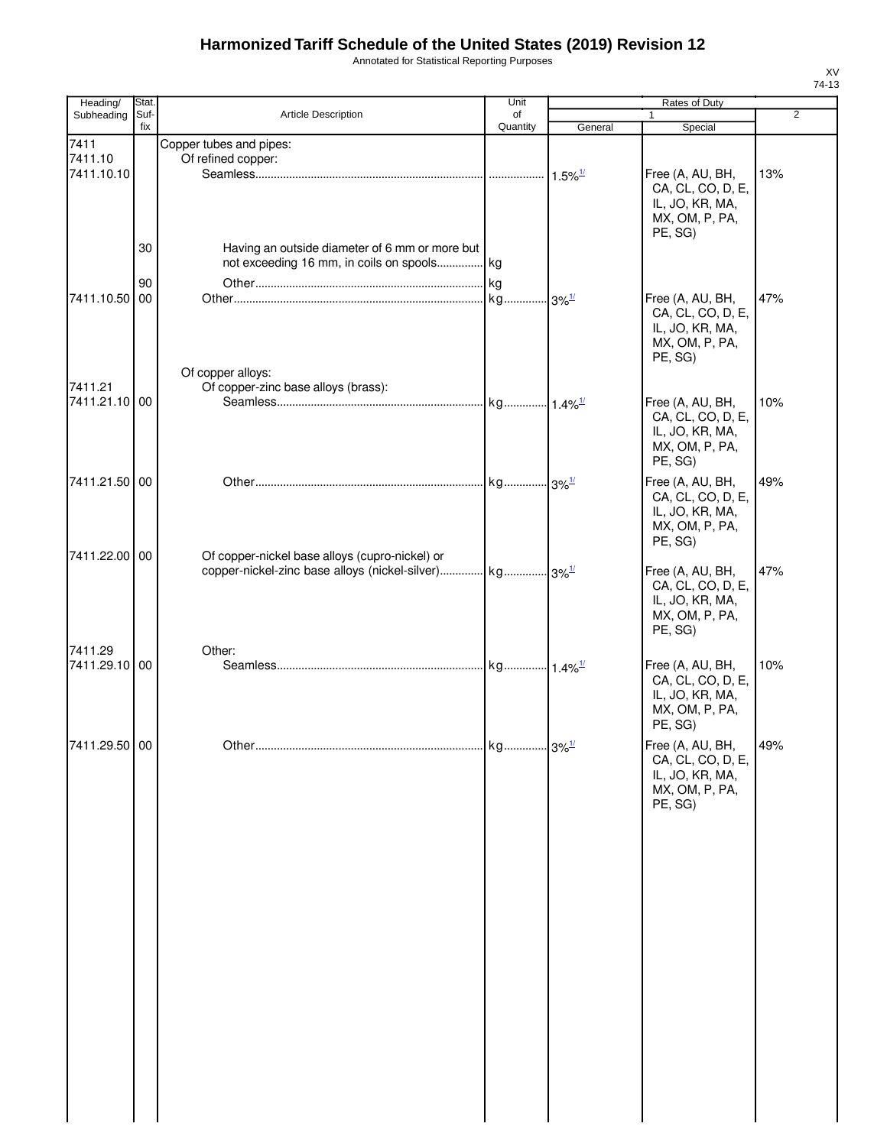Annotated for Statistical Reporting Purposes

| Heading/                 | Stat.       |                                                                                                                      | Unit                  |                       | Rates of Duty                                                                         |                |
|--------------------------|-------------|----------------------------------------------------------------------------------------------------------------------|-----------------------|-----------------------|---------------------------------------------------------------------------------------|----------------|
| Subheading               | Suf-<br>fix | Article Description                                                                                                  | of<br>Quantity        | General               | 1<br>Special                                                                          | $\overline{2}$ |
| 7411                     |             | Copper tubes and pipes:                                                                                              |                       |                       |                                                                                       |                |
| 7411.10<br>7411.10.10    |             | Of refined copper:                                                                                                   |                       | $1.5\%$ <sup>1/</sup> | Free (A, AU, BH,<br>CA, CL, CO, D, E,<br>IL, JO, KR, MA,<br>MX, OM, P, PA,<br>PE, SG) | 13%            |
|                          | 30          | Having an outside diameter of 6 mm or more but<br>not exceeding 16 mm, in coils on spools kg                         |                       |                       |                                                                                       |                |
|                          | 90          |                                                                                                                      |                       |                       |                                                                                       |                |
| 7411.10.50 00            |             | Of copper alloys:                                                                                                    | kg                    | $.3\%$ <sup>1/</sup>  | Free (A, AU, BH,<br>CA, CL, CO, D, E,<br>IL, JO, KR, MA,<br>MX, OM, P, PA,<br>PE, SG) | 47%            |
| 7411.21                  |             | Of copper-zinc base alloys (brass):                                                                                  |                       |                       |                                                                                       |                |
| 7411.21.10 00            |             |                                                                                                                      | kg 1.4% <sup>1/</sup> |                       | Free (A, AU, BH,<br>CA, CL, CO, D, E,<br>IL, JO, KR, MA,<br>MX, OM, P, PA,<br>PE, SG) | 10%            |
| 7411.21.50 00            |             |                                                                                                                      |                       |                       | Free (A, AU, BH,<br>CA, CL, CO, D, E,<br>IL, JO, KR, MA,<br>MX, OM, P, PA,<br>PE, SG) | 49%            |
| 7411.22.00 00            |             | Of copper-nickel base alloys (cupro-nickel) or<br>copper-nickel-zinc base alloys (nickel-silver) kg 3% <sup>1/</sup> |                       |                       | Free (A, AU, BH,<br>CA, CL, CO, D, E,<br>IL, JO, KR, MA,<br>MX, OM, P, PA,<br>PE, SG) | 47%            |
| 7411.29<br>7411.29.10 00 |             | Other:                                                                                                               |                       |                       | Free (A, AU, BH,<br>CA, CL, CO, D, E,<br>IL, JO, KR, MA,<br>MX, OM, P, PA,<br>PE, SG) | 10%            |
| 7411.29.50 00            |             |                                                                                                                      |                       |                       | Free (A, AU, BH,<br>CA, CL, CO, D, E,<br>IL, JO, KR, MA,<br>MX, OM, P, PA,<br>PE, SG) | 49%            |
|                          |             |                                                                                                                      |                       |                       |                                                                                       |                |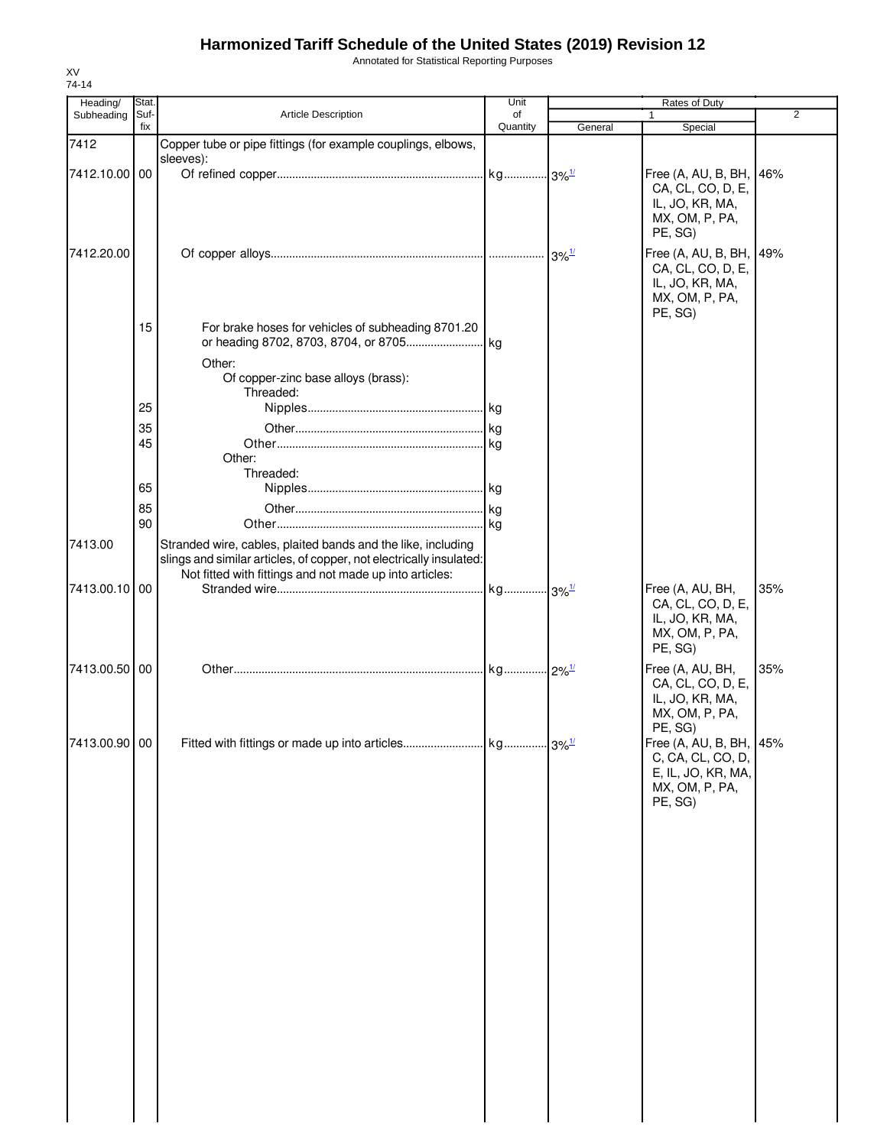Annotated for Statistical Reporting Purposes

| Heading/<br>Subheading | Stat.<br>Suf- | <b>Article Description</b>                                                                                                                                                                     | Unit<br>of | Rates of Duty |                                                                                                            |                |
|------------------------|---------------|------------------------------------------------------------------------------------------------------------------------------------------------------------------------------------------------|------------|---------------|------------------------------------------------------------------------------------------------------------|----------------|
|                        | fix           |                                                                                                                                                                                                | Quantity   | General       | $\mathbf{1}$<br>Special                                                                                    | $\overline{2}$ |
| 7412                   |               | Copper tube or pipe fittings (for example couplings, elbows,                                                                                                                                   |            |               |                                                                                                            |                |
|                        |               | sleeves):                                                                                                                                                                                      |            |               |                                                                                                            |                |
| 7412.10.00 00          |               |                                                                                                                                                                                                |            |               | Free (A, AU, B, BH, 46%<br>CA, CL, CO, D, E,<br>IL, JO, KR, MA,<br>MX, OM, P, PA,                          |                |
|                        |               |                                                                                                                                                                                                |            |               | PE, SG)                                                                                                    |                |
| 7412.20.00             |               |                                                                                                                                                                                                |            |               | Free (A, AU, B, BH, 49%<br>CA, CL, CO, D, E,<br>IL, JO, KR, MA,<br>MX, OM, P, PA,<br>PE, SG)               |                |
|                        | 15            | For brake hoses for vehicles of subheading 8701.20                                                                                                                                             |            |               |                                                                                                            |                |
|                        |               | Other:<br>Of copper-zinc base alloys (brass):                                                                                                                                                  |            |               |                                                                                                            |                |
|                        | 25            | Threaded:                                                                                                                                                                                      |            |               |                                                                                                            |                |
|                        |               |                                                                                                                                                                                                |            |               |                                                                                                            |                |
|                        | 35            |                                                                                                                                                                                                |            |               |                                                                                                            |                |
|                        | 45            | Other:<br>Threaded:                                                                                                                                                                            |            |               |                                                                                                            |                |
|                        | 65            |                                                                                                                                                                                                |            |               |                                                                                                            |                |
|                        | 85            |                                                                                                                                                                                                |            |               |                                                                                                            |                |
|                        | 90            |                                                                                                                                                                                                |            |               |                                                                                                            |                |
| 7413.00                |               | Stranded wire, cables, plaited bands and the like, including<br>slings and similar articles, of copper, not electrically insulated:<br>Not fitted with fittings and not made up into articles: |            |               |                                                                                                            |                |
| 7413.00.10 00          |               |                                                                                                                                                                                                |            |               | Free (A, AU, BH,<br>CA, CL, CO, D, E,<br>IL, JO, KR, MA,<br>MX, OM, P, PA,<br>PE, SG)                      | 35%            |
| 7413.00.50 00          |               |                                                                                                                                                                                                |            |               | Free (A, AU, BH,<br>CA, CL, CO, D, E,<br>IL, JO, KR, MA,<br>MX, OM, P, PA,                                 | 35%            |
| 7413.00.90 00          |               |                                                                                                                                                                                                |            |               | PE, SG)<br>Free (A, AU, B, BH, 45%<br>C, CA, CL, CO, D,<br>E, IL, JO, KR, MA,<br>MX, OM, P, PA,<br>PE, SG) |                |
|                        |               |                                                                                                                                                                                                |            |               |                                                                                                            |                |
|                        |               |                                                                                                                                                                                                |            |               |                                                                                                            |                |
|                        |               |                                                                                                                                                                                                |            |               |                                                                                                            |                |
|                        |               |                                                                                                                                                                                                |            |               |                                                                                                            |                |
|                        |               |                                                                                                                                                                                                |            |               |                                                                                                            |                |
|                        |               |                                                                                                                                                                                                |            |               |                                                                                                            |                |
|                        |               |                                                                                                                                                                                                |            |               |                                                                                                            |                |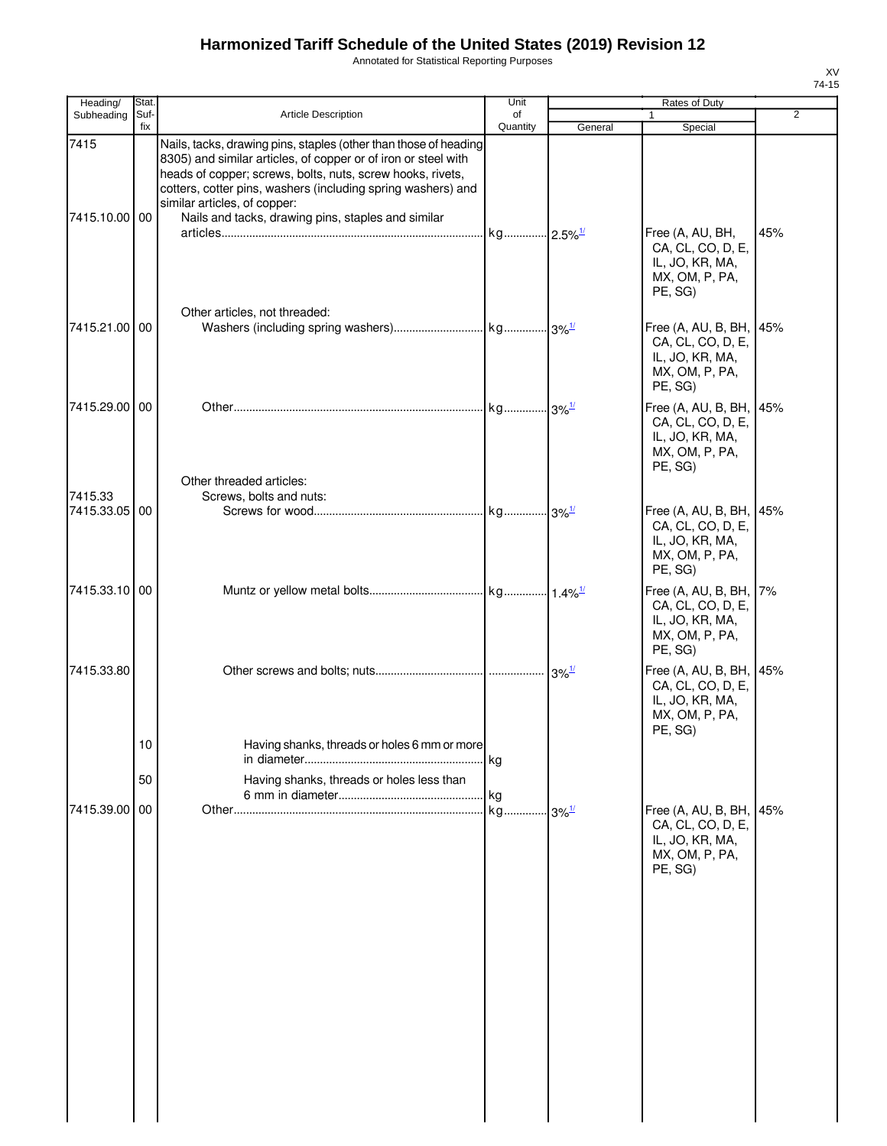Annotated for Statistical Reporting Purposes

| Heading/              | Stat.       |                                                                                                                                                                                                                                                                                                  | Unit           |                      | Rates of Duty                                                                                |     |
|-----------------------|-------------|--------------------------------------------------------------------------------------------------------------------------------------------------------------------------------------------------------------------------------------------------------------------------------------------------|----------------|----------------------|----------------------------------------------------------------------------------------------|-----|
| Subheading            | Suf-<br>fix | <b>Article Description</b>                                                                                                                                                                                                                                                                       | of<br>Quantity | General              | $\mathbf{1}$<br>Special                                                                      | 2   |
| 7415                  |             | Nails, tacks, drawing pins, staples (other than those of heading<br>8305) and similar articles, of copper or of iron or steel with<br>heads of copper; screws, bolts, nuts, screw hooks, rivets,<br>cotters, cotter pins, washers (including spring washers) and<br>similar articles, of copper: |                |                      |                                                                                              |     |
| 7415.10.00 00         |             | Nails and tacks, drawing pins, staples and similar                                                                                                                                                                                                                                               |                |                      | Free (A, AU, BH,<br>CA, CL, CO, D, E,<br>IL, JO, KR, MA,<br>MX, OM, P, PA,<br>PE, SG)        | 45% |
| 7415.21.00 00         |             | Other articles, not threaded:                                                                                                                                                                                                                                                                    |                |                      | Free (A, AU, B, BH,<br>CA, CL, CO, D, E,<br>IL, JO, KR, MA,<br>MX, OM, P, PA,<br>PE, SG)     | 45% |
| 7415.29.00 00         |             | Other threaded articles:                                                                                                                                                                                                                                                                         |                |                      | Free $(A, AU, B, BH,$<br>CA, CL, CO, D, E,<br>IL, JO, KR, MA,<br>MX, OM, P, PA,<br>PE, SG)   | 45% |
| 7415.33<br>7415.33.05 | 00          | Screws, bolts and nuts:                                                                                                                                                                                                                                                                          |                |                      | Free (A, AU, B, BH, 45%<br>CA, CL, CO, D, E,<br>IL, JO, KR, MA,<br>MX, OM, P, PA,<br>PE, SG) |     |
| 7415.33.10 00         |             |                                                                                                                                                                                                                                                                                                  |                |                      | Free (A, AU, B, BH,<br>CA, CL, CO, D, E,<br>IL, JO, KR, MA,<br>MX, OM, P, PA,<br>PE, SG)     | 7%  |
| 7415.33.80            |             |                                                                                                                                                                                                                                                                                                  |                |                      | Free (A, AU, B, BH, 45%<br>CA, CL, CO, D, E,<br>IL, JO, KR, MA,<br>MX, OM, P, PA,<br>PE, SG) |     |
|                       | 10<br>50    | Having shanks, threads or holes 6 mm or more<br>Having shanks, threads or holes less than                                                                                                                                                                                                        | kg             |                      |                                                                                              |     |
| 7415.39.00            | 00          |                                                                                                                                                                                                                                                                                                  | kg             | $-3\%$ <sup>1/</sup> | Free (A, AU, B, BH, 45%<br>CA, CL, CO, D, E,<br>IL, JO, KR, MA,<br>MX, OM, P, PA,<br>PE, SG) |     |
|                       |             |                                                                                                                                                                                                                                                                                                  |                |                      |                                                                                              |     |
|                       |             |                                                                                                                                                                                                                                                                                                  |                |                      |                                                                                              |     |
|                       |             |                                                                                                                                                                                                                                                                                                  |                |                      |                                                                                              |     |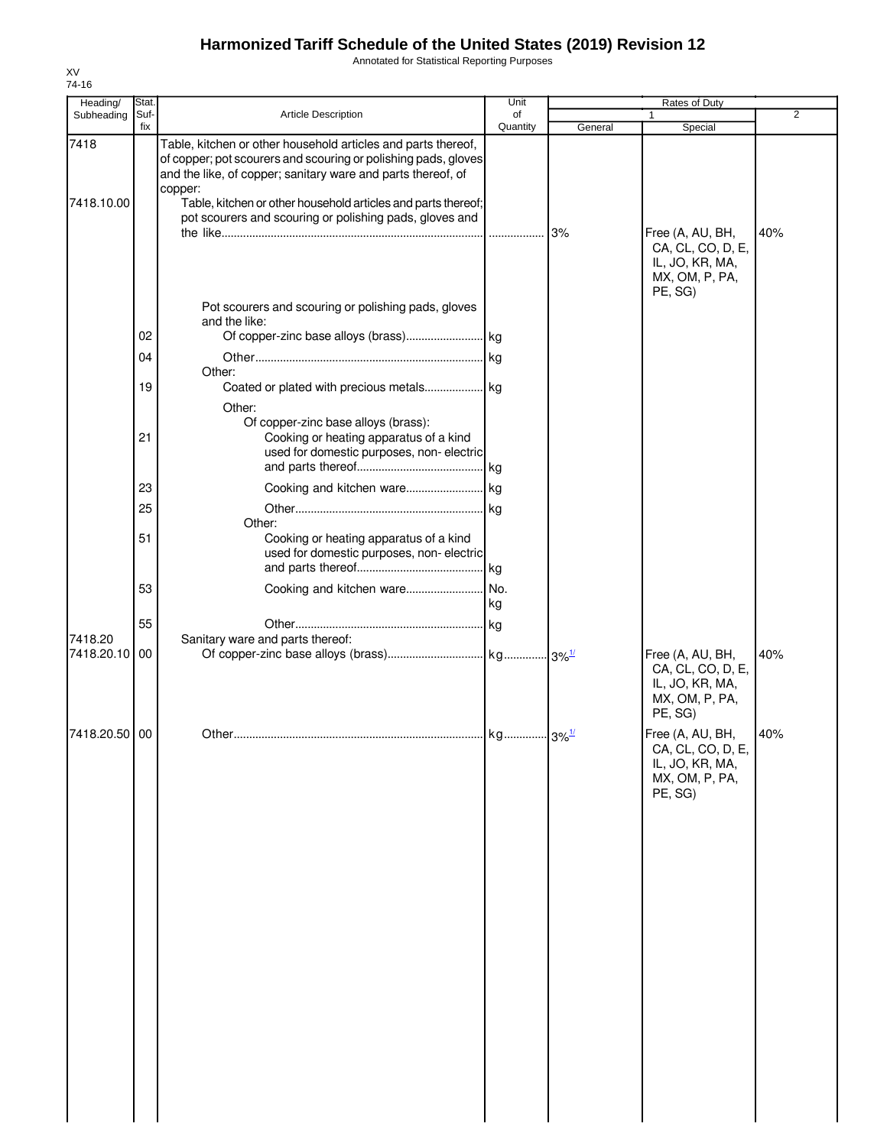Annotated for Statistical Reporting Purposes

| Heading/              | <b>Stat</b> |                                                                                                                                                                                                                                                                             | Unit           |         |                                                                                       |                |
|-----------------------|-------------|-----------------------------------------------------------------------------------------------------------------------------------------------------------------------------------------------------------------------------------------------------------------------------|----------------|---------|---------------------------------------------------------------------------------------|----------------|
| Subheading            | Suf-<br>fix | Article Description                                                                                                                                                                                                                                                         | of<br>Quantity | General | Special                                                                               | $\overline{2}$ |
| 7418<br>7418.10.00    |             | Table, kitchen or other household articles and parts thereof,<br>of copper; pot scourers and scouring or polishing pads, gloves<br>and the like, of copper; sanitary ware and parts thereof, of<br>copper:<br>Table, kitchen or other household articles and parts thereof; |                |         |                                                                                       |                |
|                       |             | pot scourers and scouring or polishing pads, gloves and<br>Pot scourers and scouring or polishing pads, gloves                                                                                                                                                              |                | 3%      | Free (A, AU, BH,<br>CA, CL, CO, D, E,<br>IL, JO, KR, MA,<br>MX, OM, P, PA,<br>PE, SG) | 40%            |
|                       |             | and the like:                                                                                                                                                                                                                                                               |                |         |                                                                                       |                |
|                       | 02          |                                                                                                                                                                                                                                                                             |                |         |                                                                                       |                |
|                       | 04          | Other:                                                                                                                                                                                                                                                                      |                |         |                                                                                       |                |
|                       | 19          | Other:                                                                                                                                                                                                                                                                      |                |         |                                                                                       |                |
|                       | 21          | Of copper-zinc base alloys (brass):<br>Cooking or heating apparatus of a kind<br>used for domestic purposes, non-electric                                                                                                                                                   |                |         |                                                                                       |                |
|                       | 23          |                                                                                                                                                                                                                                                                             |                |         |                                                                                       |                |
|                       | 25          | Other:                                                                                                                                                                                                                                                                      |                |         |                                                                                       |                |
|                       | 51          | Cooking or heating apparatus of a kind<br>used for domestic purposes, non-electric                                                                                                                                                                                          |                |         |                                                                                       |                |
|                       | 53          |                                                                                                                                                                                                                                                                             | kg             |         |                                                                                       |                |
|                       | 55          |                                                                                                                                                                                                                                                                             |                |         |                                                                                       |                |
| 7418.20<br>7418.20.10 | 00          | Sanitary ware and parts thereof:                                                                                                                                                                                                                                            |                |         | Free (A, AU, BH,<br>CA, CL, CO, D, E,<br>IL, JO, KR, MA,<br>MX, OM, P, PA,<br>PE, SG) | 40%            |
| 7418.20.50 00         |             |                                                                                                                                                                                                                                                                             |                |         | Free (A, AU, BH,<br>CA, CL, CO, D, E,<br>IL, JO, KR, MA,<br>MX, OM, P, PA,<br>PE, SG) | 40%            |
|                       |             |                                                                                                                                                                                                                                                                             |                |         |                                                                                       |                |
|                       |             |                                                                                                                                                                                                                                                                             |                |         |                                                                                       |                |
|                       |             |                                                                                                                                                                                                                                                                             |                |         |                                                                                       |                |
|                       |             |                                                                                                                                                                                                                                                                             |                |         |                                                                                       |                |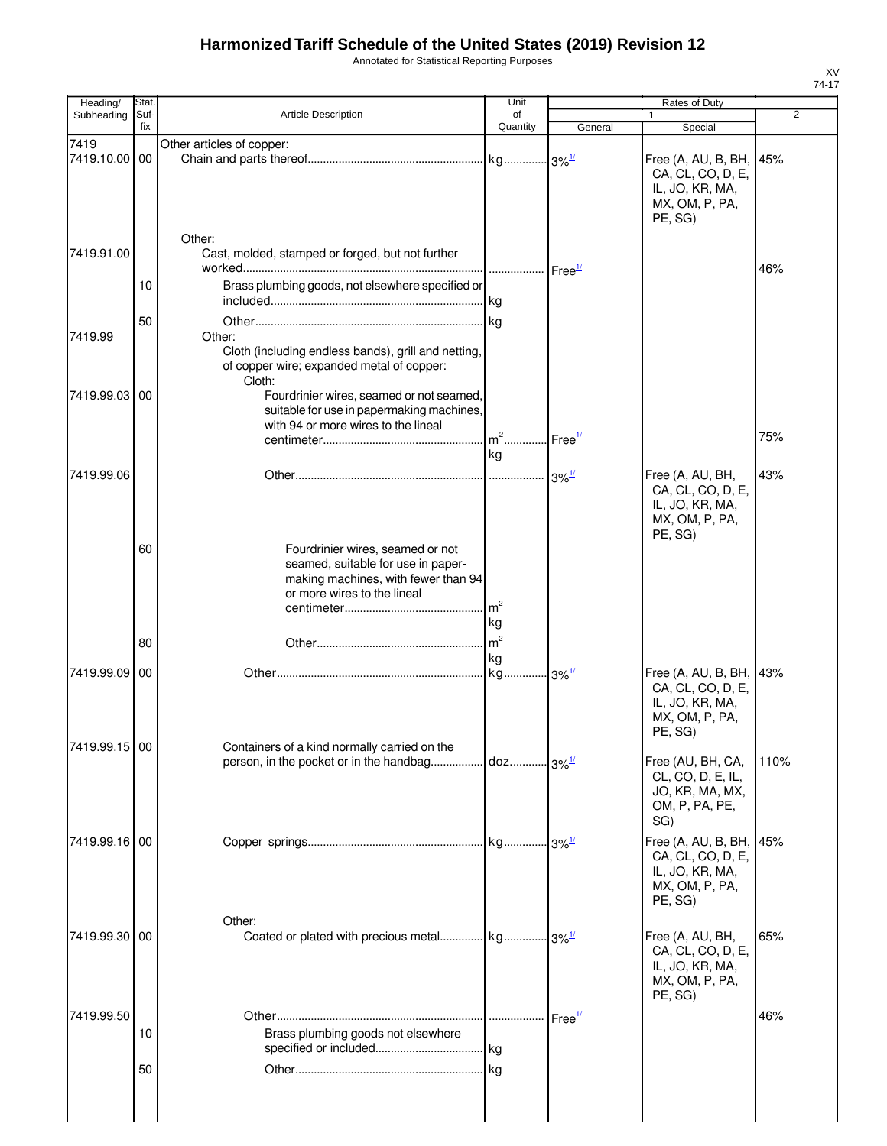Annotated for Statistical Reporting Purposes

| Heading/              | Stat        |                                                                                                                                              | Unit                 |                     | Rates of Duty                                                                                |                |
|-----------------------|-------------|----------------------------------------------------------------------------------------------------------------------------------------------|----------------------|---------------------|----------------------------------------------------------------------------------------------|----------------|
| Subheading            | Suf-<br>fix | <b>Article Description</b>                                                                                                                   | of<br>Quantity       | General             | $\mathbf{1}$<br>Special                                                                      | $\overline{2}$ |
| 7419<br>7419.10.00 00 |             | Other articles of copper:                                                                                                                    |                      |                     | Free (A, AU, B, BH, 45%<br>CA, CL, CO, D, E,<br>IL, JO, KR, MA,<br>MX, OM, P, PA,<br>PE, SG) |                |
| 7419.91.00            | 10          | Other:<br>Cast, molded, stamped or forged, but not further<br>Brass plumbing goods, not elsewhere specified or                               |                      |                     |                                                                                              | 46%            |
|                       | 50          |                                                                                                                                              |                      |                     |                                                                                              |                |
| 7419.99               |             | Other:<br>Cloth (including endless bands), grill and netting,<br>of copper wire; expanded metal of copper:<br>Cloth:                         |                      |                     |                                                                                              |                |
| 7419.99.03 00         |             | Fourdrinier wires, seamed or not seamed,<br>suitable for use in papermaking machines,<br>with 94 or more wires to the lineal                 | $m2$                 | Free <sup>1/</sup>  |                                                                                              | 75%            |
|                       |             |                                                                                                                                              | kg                   |                     |                                                                                              |                |
| 7419.99.06            |             |                                                                                                                                              |                      |                     | Free (A, AU, BH,<br>CA, CL, CO, D, E,<br>IL, JO, KR, MA,<br>MX, OM, P, PA,<br>PE, SG)        | 43%            |
|                       | 60          | Fourdrinier wires, seamed or not<br>seamed, suitable for use in paper-<br>making machines, with fewer than 94<br>or more wires to the lineal | m <sup>2</sup><br>kg |                     |                                                                                              |                |
|                       | 80          |                                                                                                                                              | m <sup>2</sup><br>kg |                     |                                                                                              |                |
| 7419.99.09 00         |             |                                                                                                                                              | kg.                  | $3\%$ <sup>1/</sup> | Free (A, AU, B, BH, 43%<br>CA, CL, CO, D, E,<br>IL, JO, KR, MA,<br>MX, OM, P, PA,<br>PE, SG) |                |
| 7419.99.15 00         |             | Containers of a kind normally carried on the                                                                                                 |                      |                     | Free (AU, BH, CA,<br>CL, CO, D, E, IL,<br>JO, KR, MA, MX,<br>OM, P, PA, PE,<br>SG)           | 110%           |
| 7419.99.16 00         |             |                                                                                                                                              |                      |                     | Free (A, AU, B, BH,<br>CA, CL, CO, D, E,<br>IL, JO, KR, MA,<br>MX, OM, P, PA,<br>PE, SG)     | 45%            |
| 7419.99.30 00         |             | Other:<br>Coated or plated with precious metal kg 3% <sup>1/</sup>                                                                           |                      |                     | Free (A, AU, BH,<br>CA, CL, CO, D, E,<br>IL, JO, KR, MA,<br>MX, OM, P, PA,<br>PE, SG)        | 65%            |
| 7419.99.50            | 10          | Brass plumbing goods not elsewhere                                                                                                           |                      | Free <sup>1/</sup>  |                                                                                              | 46%            |
|                       | 50          |                                                                                                                                              |                      |                     |                                                                                              |                |
|                       |             |                                                                                                                                              |                      |                     |                                                                                              |                |